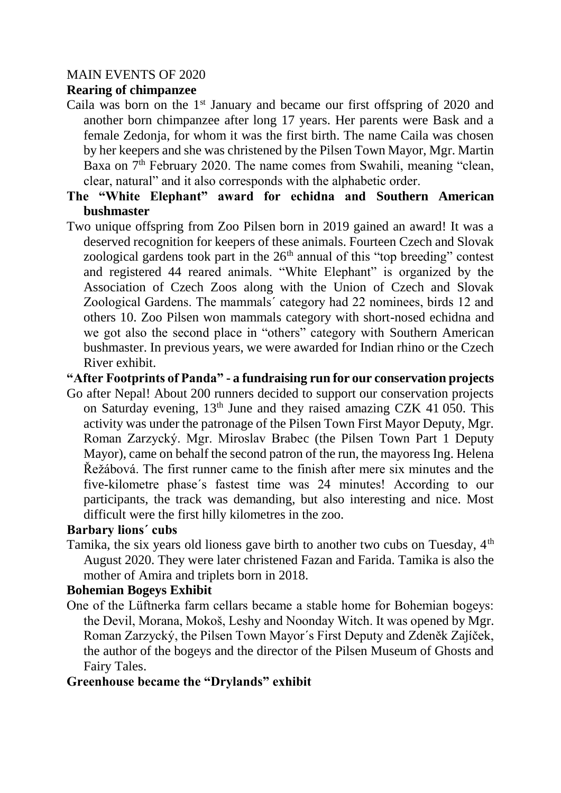### MAIN EVENTS OF 2020

# **Rearing of chimpanzee**

- Caila was born on the  $1<sup>st</sup>$  January and became our first offspring of 2020 and another born chimpanzee after long 17 years. Her parents were Bask and a female Zedonja, for whom it was the first birth. The name Caila was chosen by her keepers and she was christened by the Pilsen Town Mayor, Mgr. Martin Baxa on  $7<sup>th</sup>$  February 2020. The name comes from Swahili, meaning "clean, clear, natural" and it also corresponds with the alphabetic order.
- **The "White Elephant" award for echidna and Southern American bushmaster**
- Two unique offspring from Zoo Pilsen born in 2019 gained an award! It was a deserved recognition for keepers of these animals. Fourteen Czech and Slovak zoological gardens took part in the  $26<sup>th</sup>$  annual of this "top breeding" contest and registered 44 reared animals. "White Elephant" is organized by the Association of Czech Zoos along with the Union of Czech and Slovak Zoological Gardens. The mammals´ category had 22 nominees, birds 12 and others 10. Zoo Pilsen won mammals category with short-nosed echidna and we got also the second place in "others" category with Southern American bushmaster. In previous years, we were awarded for Indian rhino or the Czech River exhibit.

#### **"After Footprints of Panda" - a fundraising run for our conservation projects**

Go after Nepal! About 200 runners decided to support our conservation projects on Saturday evening, 13<sup>th</sup> June and they raised amazing CZK 41 050. This activity was under the patronage of the Pilsen Town First Mayor Deputy, Mgr. Roman Zarzycký. Mgr. Miroslav Brabec (the Pilsen Town Part 1 Deputy Mayor), came on behalf the second patron of the run, the mayoress Ing. Helena Řežábová. The first runner came to the finish after mere six minutes and the five-kilometre phase´s fastest time was 24 minutes! According to our participants, the track was demanding, but also interesting and nice. Most difficult were the first hilly kilometres in the zoo.

#### **Barbary lions´ cubs**

Tamika, the six years old lioness gave birth to another two cubs on Tuesday,  $4<sup>th</sup>$ August 2020. They were later christened Fazan and Farida. Tamika is also the mother of Amira and triplets born in 2018.

#### **Bohemian Bogeys Exhibit**

One of the Lüftnerka farm cellars became a stable home for Bohemian bogeys: the Devil, Morana, Mokoš, Leshy and Noonday Witch. It was opened by Mgr. Roman Zarzycký, the Pilsen Town Mayor´s First Deputy and Zdeněk Zajíček, the author of the bogeys and the director of the Pilsen Museum of Ghosts and Fairy Tales.

#### **Greenhouse became the "Drylands" exhibit**